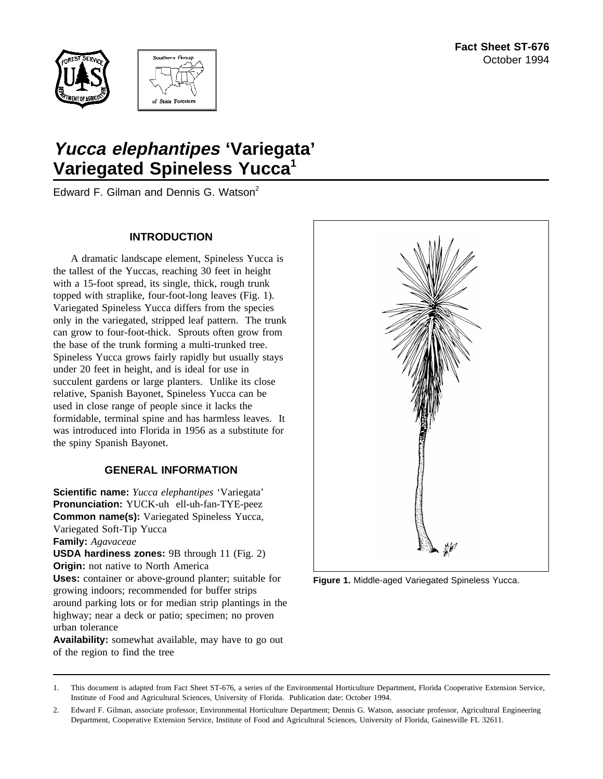



# **Yucca elephantipes 'Variegata' Variegated Spineless Yucca1**

Edward F. Gilman and Dennis G. Watson<sup>2</sup>

## **INTRODUCTION**

A dramatic landscape element, Spineless Yucca is the tallest of the Yuccas, reaching 30 feet in height with a 15-foot spread, its single, thick, rough trunk topped with straplike, four-foot-long leaves (Fig. 1). Variegated Spineless Yucca differs from the species only in the variegated, stripped leaf pattern. The trunk can grow to four-foot-thick. Sprouts often grow from the base of the trunk forming a multi-trunked tree. Spineless Yucca grows fairly rapidly but usually stays under 20 feet in height, and is ideal for use in succulent gardens or large planters. Unlike its close relative, Spanish Bayonet, Spineless Yucca can be used in close range of people since it lacks the formidable, terminal spine and has harmless leaves. It was introduced into Florida in 1956 as a substitute for the spiny Spanish Bayonet.

# **GENERAL INFORMATION**

**Scientific name:** *Yucca elephantipes* 'Variegata' **Pronunciation:** YUCK-uh ell-uh-fan-TYE-peez **Common name(s):** Variegated Spineless Yucca, Variegated Soft-Tip Yucca **Family:** *Agavaceae* **USDA hardiness zones:** 9B through 11 (Fig. 2) **Origin:** not native to North America **Uses:** container or above-ground planter; suitable for growing indoors; recommended for buffer strips around parking lots or for median strip plantings in the

highway; near a deck or patio; specimen; no proven urban tolerance

**Availability:** somewhat available, may have to go out of the region to find the tree

**Figure 1.** Middle-aged Variegated Spineless Yucca.

<sup>1.</sup> This document is adapted from Fact Sheet ST-676, a series of the Environmental Horticulture Department, Florida Cooperative Extension Service, Institute of Food and Agricultural Sciences, University of Florida. Publication date: October 1994.

<sup>2.</sup> Edward F. Gilman, associate professor, Environmental Horticulture Department; Dennis G. Watson, associate professor, Agricultural Engineering Department, Cooperative Extension Service, Institute of Food and Agricultural Sciences, University of Florida, Gainesville FL 32611.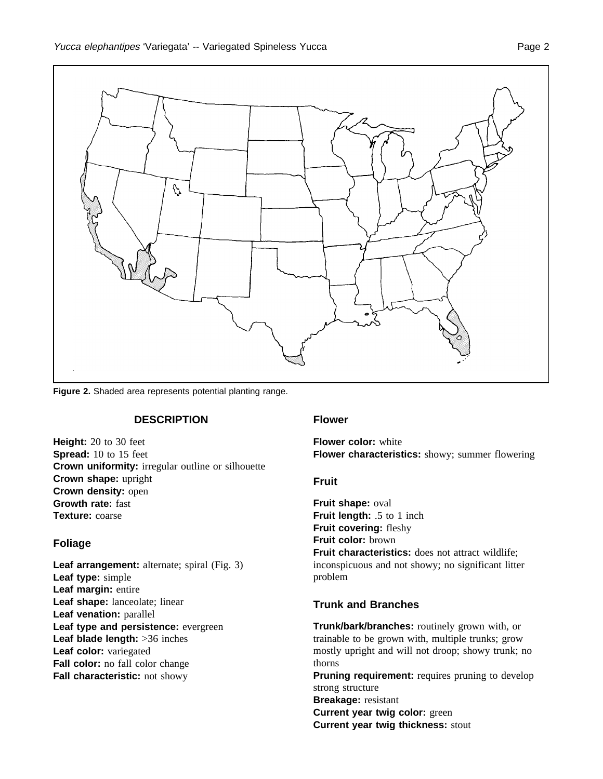

**Figure 2.** Shaded area represents potential planting range.

#### **DESCRIPTION**

**Height:** 20 to 30 feet **Spread:** 10 to 15 feet **Crown uniformity:** irregular outline or silhouette **Crown shape:** upright **Crown density:** open **Growth rate:** fast **Texture:** coarse

# **Foliage**

**Leaf arrangement:** alternate; spiral (Fig. 3) **Leaf type:** simple **Leaf margin:** entire **Leaf shape:** lanceolate; linear **Leaf venation:** parallel **Leaf type and persistence:** evergreen **Leaf blade length:** >36 inches **Leaf color:** variegated **Fall color:** no fall color change **Fall characteristic:** not showy

#### **Flower**

**Flower color:** white **Flower characteristics:** showy; summer flowering

#### **Fruit**

**Fruit shape:** oval **Fruit length:** .5 to 1 inch **Fruit covering:** fleshy **Fruit color:** brown **Fruit characteristics:** does not attract wildlife; inconspicuous and not showy; no significant litter problem

#### **Trunk and Branches**

**Trunk/bark/branches:** routinely grown with, or trainable to be grown with, multiple trunks; grow mostly upright and will not droop; showy trunk; no thorns **Pruning requirement:** requires pruning to develop strong structure **Breakage:** resistant

**Current year twig color:** green

**Current year twig thickness:** stout